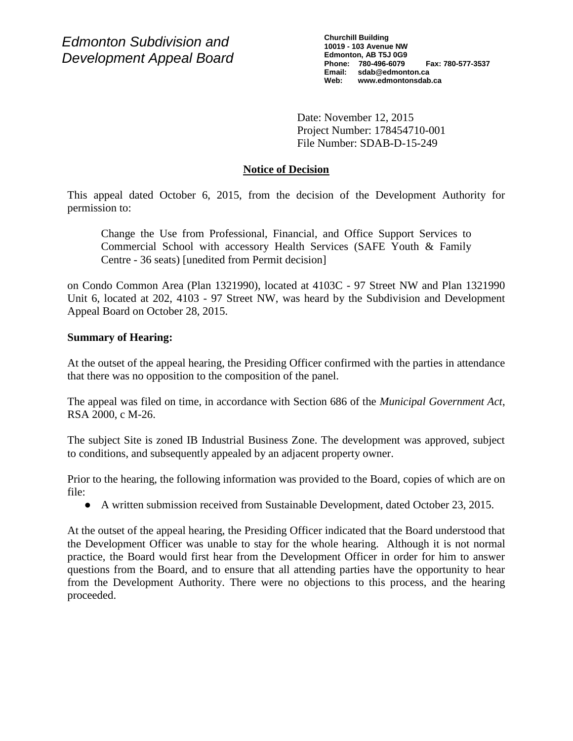*Edmonton Subdivision and Development Appeal Board* **Churchill Building 10019 - 103 Avenue NW Edmonton, AB T5J 0G9 Phone: 780-496-6079 Fax: 780-577-3537 Email: sdab@edmonton.ca Web: www.edmontonsdab.ca**

Date: November 12, 2015 Project Number: 178454710-001 File Number: SDAB-D-15-249

# **Notice of Decision**

This appeal dated October 6, 2015, from the decision of the Development Authority for permission to:

Change the Use from Professional, Financial, and Office Support Services to Commercial School with accessory Health Services (SAFE Youth & Family Centre - 36 seats) [unedited from Permit decision]

on Condo Common Area (Plan 1321990), located at 4103C - 97 Street NW and Plan 1321990 Unit 6, located at 202, 4103 - 97 Street NW, was heard by the Subdivision and Development Appeal Board on October 28, 2015.

# **Summary of Hearing:**

At the outset of the appeal hearing, the Presiding Officer confirmed with the parties in attendance that there was no opposition to the composition of the panel.

The appeal was filed on time, in accordance with Section 686 of the *Municipal Government Act*, RSA 2000, c M-26.

The subject Site is zoned IB Industrial Business Zone. The development was approved, subject to conditions, and subsequently appealed by an adjacent property owner.

Prior to the hearing, the following information was provided to the Board, copies of which are on file:

● A written submission received from Sustainable Development, dated October 23, 2015.

At the outset of the appeal hearing, the Presiding Officer indicated that the Board understood that the Development Officer was unable to stay for the whole hearing. Although it is not normal practice, the Board would first hear from the Development Officer in order for him to answer questions from the Board, and to ensure that all attending parties have the opportunity to hear from the Development Authority. There were no objections to this process, and the hearing proceeded.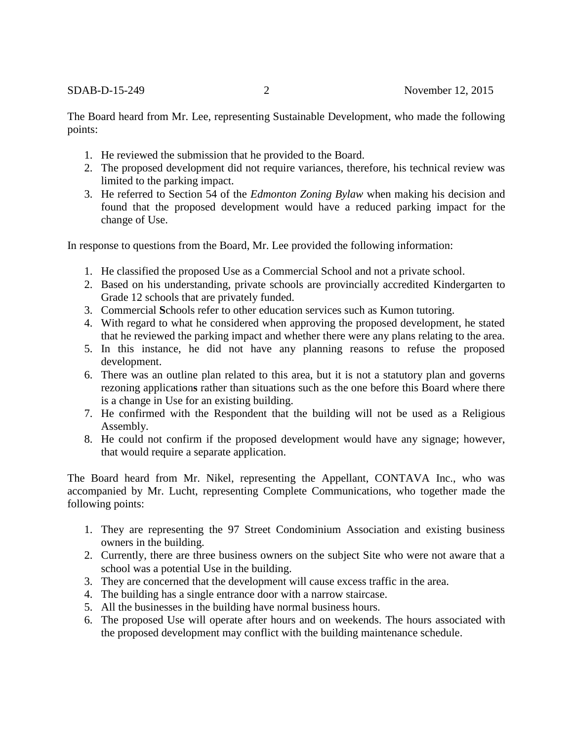The Board heard from Mr. Lee, representing Sustainable Development, who made the following points:

- 1. He reviewed the submission that he provided to the Board.
- 2. The proposed development did not require variances, therefore, his technical review was limited to the parking impact.
- 3. He referred to Section 54 of the *Edmonton Zoning Bylaw* when making his decision and found that the proposed development would have a reduced parking impact for the change of Use.

In response to questions from the Board, Mr. Lee provided the following information:

- 1. He classified the proposed Use as a Commercial School and not a private school.
- 2. Based on his understanding, private schools are provincially accredited Kindergarten to Grade 12 schools that are privately funded.
- 3. Commercial **S**chools refer to other education services such as Kumon tutoring.
- 4. With regard to what he considered when approving the proposed development, he stated that he reviewed the parking impact and whether there were any plans relating to the area.
- 5. In this instance, he did not have any planning reasons to refuse the proposed development.
- 6. There was an outline plan related to this area, but it is not a statutory plan and governs rezoning application**s** rather than situations such as the one before this Board where there is a change in Use for an existing building.
- 7. He confirmed with the Respondent that the building will not be used as a Religious Assembly.
- 8. He could not confirm if the proposed development would have any signage; however, that would require a separate application.

The Board heard from Mr. Nikel, representing the Appellant, CONTAVA Inc., who was accompanied by Mr. Lucht, representing Complete Communications, who together made the following points:

- 1. They are representing the 97 Street Condominium Association and existing business owners in the building.
- 2. Currently, there are three business owners on the subject Site who were not aware that a school was a potential Use in the building.
- 3. They are concerned that the development will cause excess traffic in the area.
- 4. The building has a single entrance door with a narrow staircase.
- 5. All the businesses in the building have normal business hours.
- 6. The proposed Use will operate after hours and on weekends. The hours associated with the proposed development may conflict with the building maintenance schedule.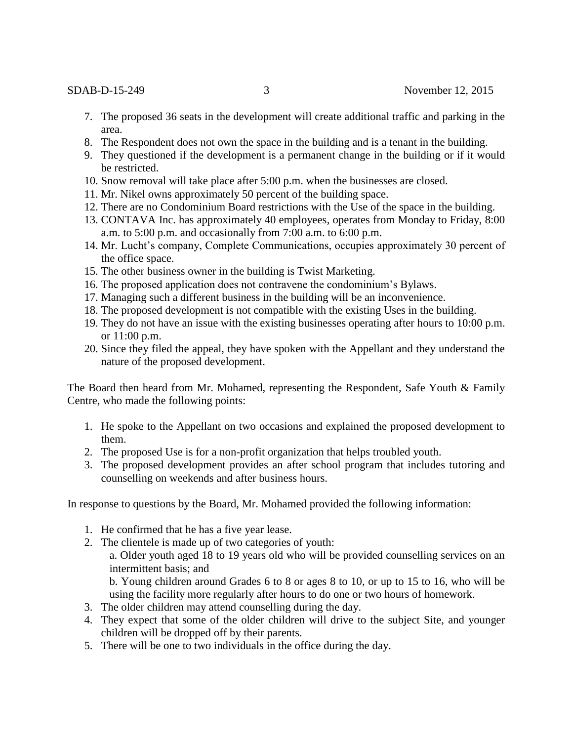- 7. The proposed 36 seats in the development will create additional traffic and parking in the area.
- 8. The Respondent does not own the space in the building and is a tenant in the building.
- 9. They questioned if the development is a permanent change in the building or if it would be restricted.
- 10. Snow removal will take place after 5:00 p.m. when the businesses are closed.
- 11. Mr. Nikel owns approximately 50 percent of the building space.
- 12. There are no Condominium Board restrictions with the Use of the space in the building.
- 13. CONTAVA Inc. has approximately 40 employees, operates from Monday to Friday, 8:00 a.m. to  $5:00$  p.m. and occasionally from  $7:00$  a.m. to  $6:00$  p.m.
- 14. Mr. Lucht's company, Complete Communications, occupies approximately 30 percent of the office space.
- 15. The other business owner in the building is Twist Marketing.
- 16. The proposed application does not contravene the condominium's Bylaws.
- 17. Managing such a different business in the building will be an inconvenience.
- 18. The proposed development is not compatible with the existing Uses in the building.
- 19. They do not have an issue with the existing businesses operating after hours to 10:00 p.m. or 11:00 p.m.
- 20. Since they filed the appeal, they have spoken with the Appellant and they understand the nature of the proposed development.

The Board then heard from Mr. Mohamed, representing the Respondent, Safe Youth & Family Centre, who made the following points:

- 1. He spoke to the Appellant on two occasions and explained the proposed development to them.
- 2. The proposed Use is for a non-profit organization that helps troubled youth.
- 3. The proposed development provides an after school program that includes tutoring and counselling on weekends and after business hours.

In response to questions by the Board, Mr. Mohamed provided the following information:

- 1. He confirmed that he has a five year lease.
- 2. The clientele is made up of two categories of youth:

a. Older youth aged 18 to 19 years old who will be provided counselling services on an intermittent basis; and

b. Young children around Grades 6 to 8 or ages 8 to 10, or up to 15 to 16, who will be using the facility more regularly after hours to do one or two hours of homework.

- 3. The older children may attend counselling during the day.
- 4. They expect that some of the older children will drive to the subject Site, and younger children will be dropped off by their parents.
- 5. There will be one to two individuals in the office during the day.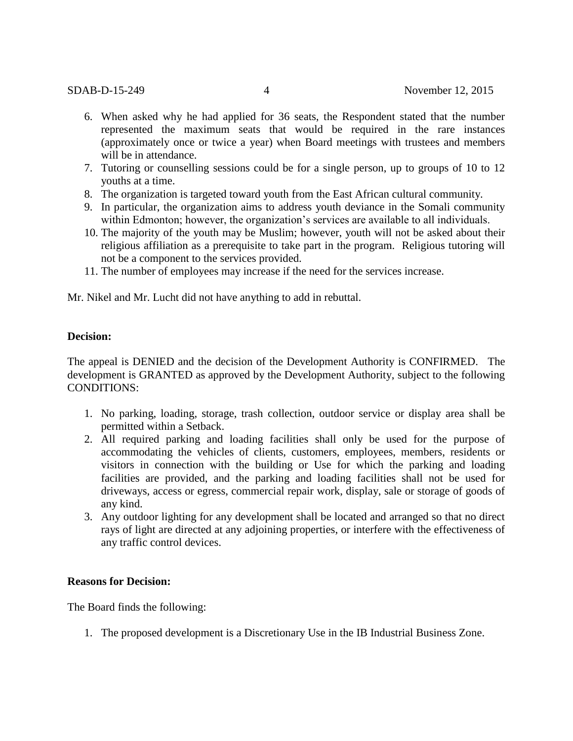- 6. When asked why he had applied for 36 seats, the Respondent stated that the number represented the maximum seats that would be required in the rare instances (approximately once or twice a year) when Board meetings with trustees and members will be in attendance.
- 7. Tutoring or counselling sessions could be for a single person, up to groups of 10 to 12 youths at a time.
- 8. The organization is targeted toward youth from the East African cultural community.
- 9. In particular, the organization aims to address youth deviance in the Somali community within Edmonton; however, the organization's services are available to all individuals.
- 10. The majority of the youth may be Muslim; however, youth will not be asked about their religious affiliation as a prerequisite to take part in the program. Religious tutoring will not be a component to the services provided.
- 11. The number of employees may increase if the need for the services increase.

Mr. Nikel and Mr. Lucht did not have anything to add in rebuttal.

#### **Decision:**

The appeal is DENIED and the decision of the Development Authority is CONFIRMED. The development is GRANTED as approved by the Development Authority, subject to the following CONDITIONS:

- 1. No parking, loading, storage, trash collection, outdoor service or display area shall be permitted within a Setback.
- 2. All required parking and loading facilities shall only be used for the purpose of accommodating the vehicles of clients, customers, employees, members, residents or visitors in connection with the building or Use for which the parking and loading facilities are provided, and the parking and loading facilities shall not be used for driveways, access or egress, commercial repair work, display, sale or storage of goods of any kind.
- 3. Any outdoor lighting for any development shall be located and arranged so that no direct rays of light are directed at any adjoining properties, or interfere with the effectiveness of any traffic control devices.

#### **Reasons for Decision:**

The Board finds the following:

1. The proposed development is a Discretionary Use in the IB Industrial Business Zone.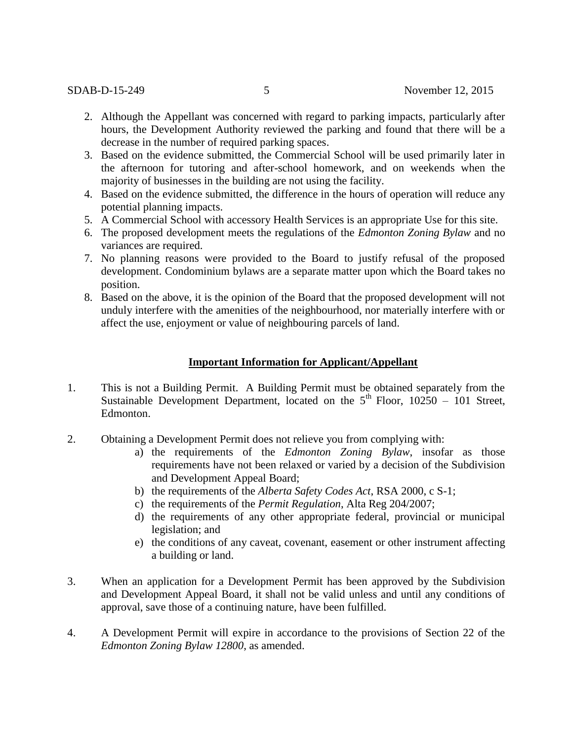- 2. Although the Appellant was concerned with regard to parking impacts, particularly after hours, the Development Authority reviewed the parking and found that there will be a decrease in the number of required parking spaces.
- 3. Based on the evidence submitted, the Commercial School will be used primarily later in the afternoon for tutoring and after-school homework, and on weekends when the majority of businesses in the building are not using the facility.
- 4. Based on the evidence submitted, the difference in the hours of operation will reduce any potential planning impacts.
- 5. A Commercial School with accessory Health Services is an appropriate Use for this site.
- 6. The proposed development meets the regulations of the *Edmonton Zoning Bylaw* and no variances are required.
- 7. No planning reasons were provided to the Board to justify refusal of the proposed development. Condominium bylaws are a separate matter upon which the Board takes no position.
- 8. Based on the above, it is the opinion of the Board that the proposed development will not unduly interfere with the amenities of the neighbourhood, nor materially interfere with or affect the use, enjoyment or value of neighbouring parcels of land.

### **Important Information for Applicant/Appellant**

- 1. This is not a Building Permit. A Building Permit must be obtained separately from the Sustainable Development Department, located on the  $5<sup>th</sup>$  Floor, 10250 – 101 Street, Edmonton.
- 2. Obtaining a Development Permit does not relieve you from complying with:
	- a) the requirements of the *Edmonton Zoning Bylaw*, insofar as those requirements have not been relaxed or varied by a decision of the Subdivision and Development Appeal Board;
	- b) the requirements of the *Alberta Safety Codes Act*, RSA 2000, c S-1;
	- c) the requirements of the *Permit Regulation*, Alta Reg 204/2007;
	- d) the requirements of any other appropriate federal, provincial or municipal legislation; and
	- e) the conditions of any caveat, covenant, easement or other instrument affecting a building or land.
- 3. When an application for a Development Permit has been approved by the Subdivision and Development Appeal Board, it shall not be valid unless and until any conditions of approval, save those of a continuing nature, have been fulfilled.
- 4. A Development Permit will expire in accordance to the provisions of Section 22 of the *Edmonton Zoning Bylaw 12800*, as amended.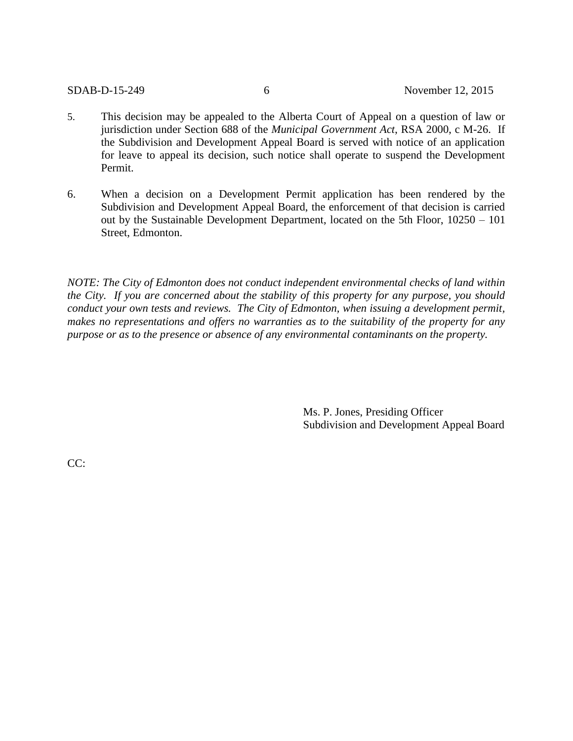- 5. This decision may be appealed to the Alberta Court of Appeal on a question of law or jurisdiction under Section 688 of the *Municipal Government Act*, RSA 2000, c M-26. If the Subdivision and Development Appeal Board is served with notice of an application for leave to appeal its decision, such notice shall operate to suspend the Development Permit.
- 6. When a decision on a Development Permit application has been rendered by the Subdivision and Development Appeal Board, the enforcement of that decision is carried out by the Sustainable Development Department, located on the 5th Floor, 10250 – 101 Street, Edmonton.

*NOTE: The City of Edmonton does not conduct independent environmental checks of land within the City. If you are concerned about the stability of this property for any purpose, you should conduct your own tests and reviews. The City of Edmonton, when issuing a development permit, makes no representations and offers no warranties as to the suitability of the property for any purpose or as to the presence or absence of any environmental contaminants on the property.*

> Ms. P. Jones, Presiding Officer Subdivision and Development Appeal Board

CC: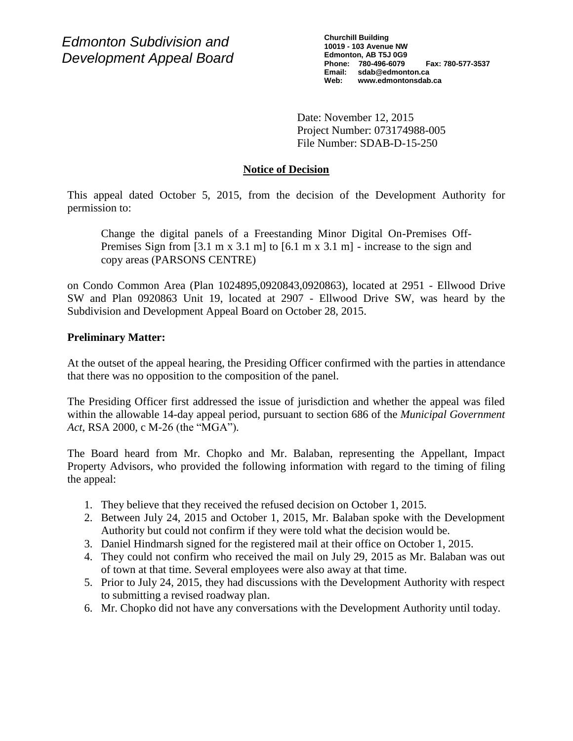*Edmonton Subdivision and Development Appeal Board* **Churchill Building 10019 - 103 Avenue NW Edmonton, AB T5J 0G9 Phone: 780-496-6079 Fax: 780-577-3537 Email: sdab@edmonton.ca Web: www.edmontonsdab.ca**

Date: November 12, 2015 Project Number: 073174988-005 File Number: SDAB-D-15-250

# **Notice of Decision**

This appeal dated October 5, 2015, from the decision of the Development Authority for permission to:

Change the digital panels of a Freestanding Minor Digital On-Premises Off-Premises Sign from  $[3.1 \text{ m x } 3.1 \text{ m}]$  to  $[6.1 \text{ m x } 3.1 \text{ m}]$  - increase to the sign and copy areas (PARSONS CENTRE)

on Condo Common Area (Plan 1024895,0920843,0920863), located at 2951 - Ellwood Drive SW and Plan 0920863 Unit 19, located at 2907 - Ellwood Drive SW, was heard by the Subdivision and Development Appeal Board on October 28, 2015.

## **Preliminary Matter:**

At the outset of the appeal hearing, the Presiding Officer confirmed with the parties in attendance that there was no opposition to the composition of the panel.

The Presiding Officer first addressed the issue of jurisdiction and whether the appeal was filed within the allowable 14-day appeal period, pursuant to section 686 of the *Municipal Government Act*, RSA 2000, c M-26 (the "MGA")*.*

The Board heard from Mr. Chopko and Mr. Balaban, representing the Appellant, Impact Property Advisors, who provided the following information with regard to the timing of filing the appeal:

- 1. They believe that they received the refused decision on October 1, 2015.
- 2. Between July 24, 2015 and October 1, 2015, Mr. Balaban spoke with the Development Authority but could not confirm if they were told what the decision would be.
- 3. Daniel Hindmarsh signed for the registered mail at their office on October 1, 2015.
- 4. They could not confirm who received the mail on July 29, 2015 as Mr. Balaban was out of town at that time. Several employees were also away at that time.
- 5. Prior to July 24, 2015, they had discussions with the Development Authority with respect to submitting a revised roadway plan.
- 6. Mr. Chopko did not have any conversations with the Development Authority until today.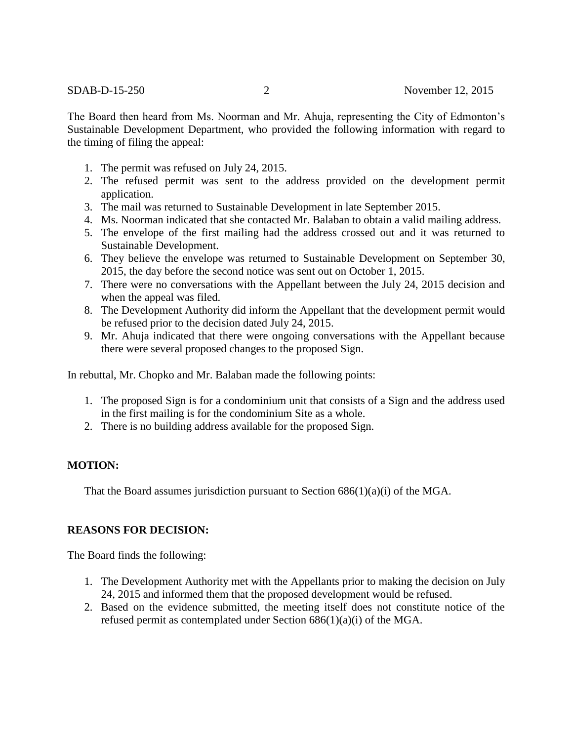The Board then heard from Ms. Noorman and Mr. Ahuja, representing the City of Edmonton's Sustainable Development Department, who provided the following information with regard to the timing of filing the appeal:

- 1. The permit was refused on July 24, 2015.
- 2. The refused permit was sent to the address provided on the development permit application.
- 3. The mail was returned to Sustainable Development in late September 2015.
- 4. Ms. Noorman indicated that she contacted Mr. Balaban to obtain a valid mailing address.
- 5. The envelope of the first mailing had the address crossed out and it was returned to Sustainable Development.
- 6. They believe the envelope was returned to Sustainable Development on September 30, 2015, the day before the second notice was sent out on October 1, 2015.
- 7. There were no conversations with the Appellant between the July 24, 2015 decision and when the appeal was filed.
- 8. The Development Authority did inform the Appellant that the development permit would be refused prior to the decision dated July 24, 2015.
- 9. Mr. Ahuja indicated that there were ongoing conversations with the Appellant because there were several proposed changes to the proposed Sign.

In rebuttal, Mr. Chopko and Mr. Balaban made the following points:

- 1. The proposed Sign is for a condominium unit that consists of a Sign and the address used in the first mailing is for the condominium Site as a whole.
- 2. There is no building address available for the proposed Sign.

# **MOTION:**

That the Board assumes jurisdiction pursuant to Section  $686(1)(a)(i)$  of the MGA.

# **REASONS FOR DECISION:**

The Board finds the following:

- 1. The Development Authority met with the Appellants prior to making the decision on July 24, 2015 and informed them that the proposed development would be refused.
- 2. Based on the evidence submitted, the meeting itself does not constitute notice of the refused permit as contemplated under Section 686(1)(a)(i) of the MGA.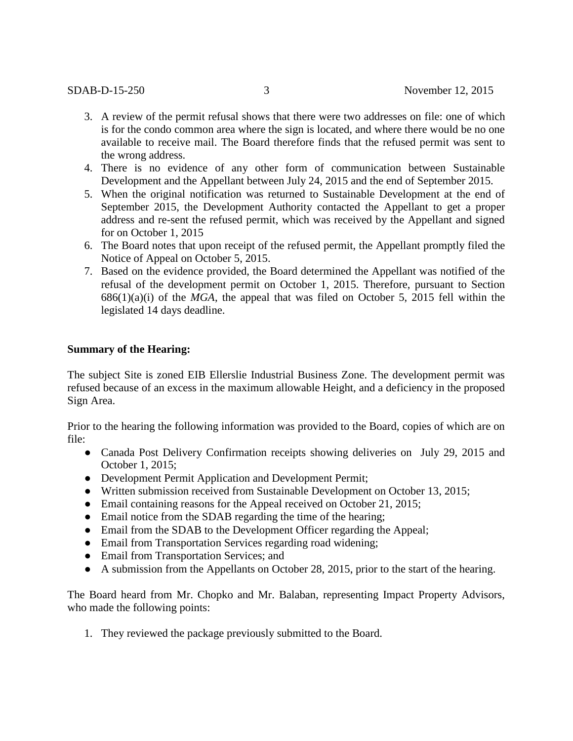- 3. A review of the permit refusal shows that there were two addresses on file: one of which is for the condo common area where the sign is located, and where there would be no one available to receive mail. The Board therefore finds that the refused permit was sent to the wrong address.
- 4. There is no evidence of any other form of communication between Sustainable Development and the Appellant between July 24, 2015 and the end of September 2015.
- 5. When the original notification was returned to Sustainable Development at the end of September 2015, the Development Authority contacted the Appellant to get a proper address and re-sent the refused permit, which was received by the Appellant and signed for on October 1, 2015
- 6. The Board notes that upon receipt of the refused permit, the Appellant promptly filed the Notice of Appeal on October 5, 2015.
- 7. Based on the evidence provided, the Board determined the Appellant was notified of the refusal of the development permit on October 1, 2015. Therefore, pursuant to Section 686(1)(a)(i) of the *MGA*, the appeal that was filed on October 5, 2015 fell within the legislated 14 days deadline.

## **Summary of the Hearing:**

The subject Site is zoned EIB Ellerslie Industrial Business Zone. The development permit was refused because of an excess in the maximum allowable Height, and a deficiency in the proposed Sign Area.

Prior to the hearing the following information was provided to the Board, copies of which are on file:

- Canada Post Delivery Confirmation receipts showing deliveries on July 29, 2015 and October 1, 2015;
- Development Permit Application and Development Permit;
- Written submission received from Sustainable Development on October 13, 2015;
- Email containing reasons for the Appeal received on October 21, 2015;
- Email notice from the SDAB regarding the time of the hearing;
- Email from the SDAB to the Development Officer regarding the Appeal;
- Email from Transportation Services regarding road widening;
- Email from Transportation Services; and
- A submission from the Appellants on October 28, 2015, prior to the start of the hearing.

The Board heard from Mr. Chopko and Mr. Balaban, representing Impact Property Advisors, who made the following points:

1. They reviewed the package previously submitted to the Board.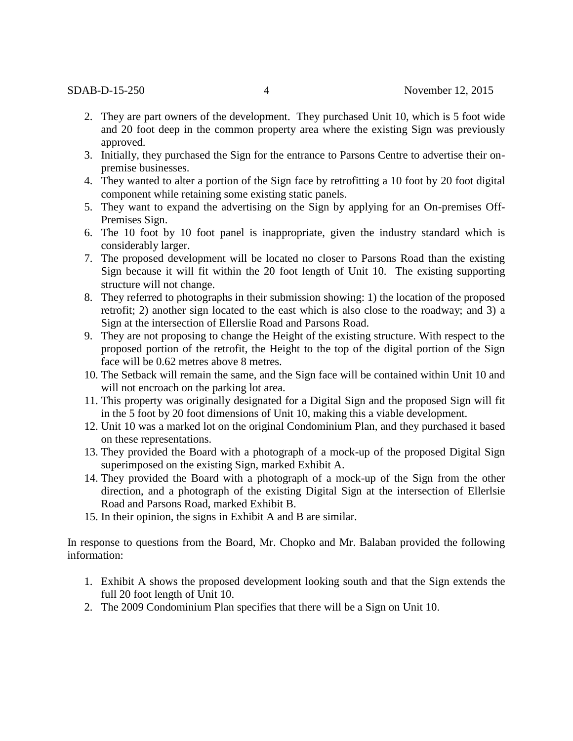- 2. They are part owners of the development. They purchased Unit 10, which is 5 foot wide and 20 foot deep in the common property area where the existing Sign was previously approved.
- 3. Initially, they purchased the Sign for the entrance to Parsons Centre to advertise their onpremise businesses.
- 4. They wanted to alter a portion of the Sign face by retrofitting a 10 foot by 20 foot digital component while retaining some existing static panels.
- 5. They want to expand the advertising on the Sign by applying for an On-premises Off-Premises Sign.
- 6. The 10 foot by 10 foot panel is inappropriate, given the industry standard which is considerably larger.
- 7. The proposed development will be located no closer to Parsons Road than the existing Sign because it will fit within the 20 foot length of Unit 10. The existing supporting structure will not change.
- 8. They referred to photographs in their submission showing: 1) the location of the proposed retrofit; 2) another sign located to the east which is also close to the roadway; and 3) a Sign at the intersection of Ellerslie Road and Parsons Road.
- 9. They are not proposing to change the Height of the existing structure. With respect to the proposed portion of the retrofit, the Height to the top of the digital portion of the Sign face will be 0.62 metres above 8 metres.
- 10. The Setback will remain the same, and the Sign face will be contained within Unit 10 and will not encroach on the parking lot area.
- 11. This property was originally designated for a Digital Sign and the proposed Sign will fit in the 5 foot by 20 foot dimensions of Unit 10, making this a viable development.
- 12. Unit 10 was a marked lot on the original Condominium Plan, and they purchased it based on these representations.
- 13. They provided the Board with a photograph of a mock-up of the proposed Digital Sign superimposed on the existing Sign, marked Exhibit A.
- 14. They provided the Board with a photograph of a mock-up of the Sign from the other direction, and a photograph of the existing Digital Sign at the intersection of Ellerlsie Road and Parsons Road, marked Exhibit B.
- 15. In their opinion, the signs in Exhibit A and B are similar.

In response to questions from the Board, Mr. Chopko and Mr. Balaban provided the following information:

- 1. Exhibit A shows the proposed development looking south and that the Sign extends the full 20 foot length of Unit 10.
- 2. The 2009 Condominium Plan specifies that there will be a Sign on Unit 10.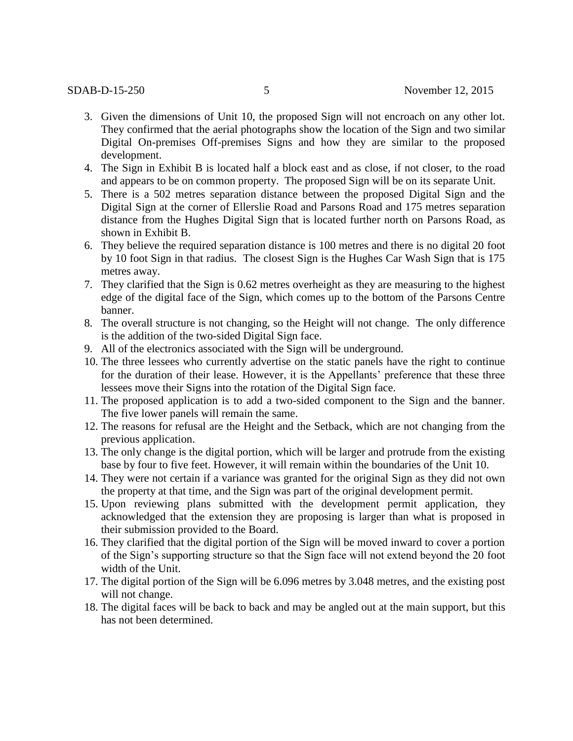- 3. Given the dimensions of Unit 10, the proposed Sign will not encroach on any other lot. They confirmed that the aerial photographs show the location of the Sign and two similar Digital On-premises Off-premises Signs and how they are similar to the proposed development.
- 4. The Sign in Exhibit B is located half a block east and as close, if not closer, to the road and appears to be on common property. The proposed Sign will be on its separate Unit.
- 5. There is a 502 metres separation distance between the proposed Digital Sign and the Digital Sign at the corner of Ellerslie Road and Parsons Road and 175 metres separation distance from the Hughes Digital Sign that is located further north on Parsons Road, as shown in Exhibit B.
- 6. They believe the required separation distance is 100 metres and there is no digital 20 foot by 10 foot Sign in that radius. The closest Sign is the Hughes Car Wash Sign that is 175 metres away.
- 7. They clarified that the Sign is 0.62 metres overheight as they are measuring to the highest edge of the digital face of the Sign, which comes up to the bottom of the Parsons Centre banner.
- 8. The overall structure is not changing, so the Height will not change. The only difference is the addition of the two-sided Digital Sign face.
- 9. All of the electronics associated with the Sign will be underground.
- 10. The three lessees who currently advertise on the static panels have the right to continue for the duration of their lease. However, it is the Appellants' preference that these three lessees move their Signs into the rotation of the Digital Sign face.
- 11. The proposed application is to add a two-sided component to the Sign and the banner. The five lower panels will remain the same.
- 12. The reasons for refusal are the Height and the Setback, which are not changing from the previous application.
- 13. The only change is the digital portion, which will be larger and protrude from the existing base by four to five feet. However, it will remain within the boundaries of the Unit 10.
- 14. They were not certain if a variance was granted for the original Sign as they did not own the property at that time, and the Sign was part of the original development permit.
- 15. Upon reviewing plans submitted with the development permit application, they acknowledged that the extension they are proposing is larger than what is proposed in their submission provided to the Board.
- 16. They clarified that the digital portion of the Sign will be moved inward to cover a portion of the Sign's supporting structure so that the Sign face will not extend beyond the 20 foot width of the Unit.
- 17. The digital portion of the Sign will be 6.096 metres by 3.048 metres, and the existing post will not change.
- 18. The digital faces will be back to back and may be angled out at the main support, but this has not been determined.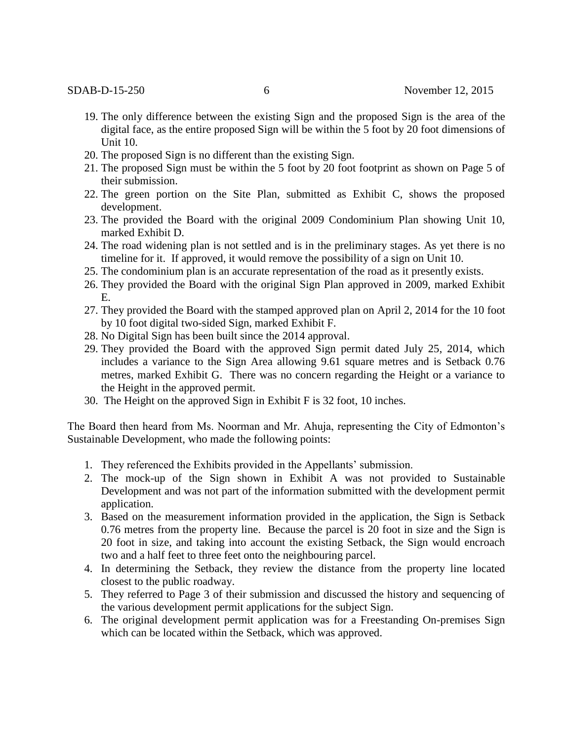- 19. The only difference between the existing Sign and the proposed Sign is the area of the digital face, as the entire proposed Sign will be within the 5 foot by 20 foot dimensions of Unit 10.
- 20. The proposed Sign is no different than the existing Sign.
- 21. The proposed Sign must be within the 5 foot by 20 foot footprint as shown on Page 5 of their submission.
- 22. The green portion on the Site Plan, submitted as Exhibit C, shows the proposed development.
- 23. The provided the Board with the original 2009 Condominium Plan showing Unit 10, marked Exhibit D.
- 24. The road widening plan is not settled and is in the preliminary stages. As yet there is no timeline for it. If approved, it would remove the possibility of a sign on Unit 10.
- 25. The condominium plan is an accurate representation of the road as it presently exists.
- 26. They provided the Board with the original Sign Plan approved in 2009, marked Exhibit E.
- 27. They provided the Board with the stamped approved plan on April 2, 2014 for the 10 foot by 10 foot digital two-sided Sign, marked Exhibit F.
- 28. No Digital Sign has been built since the 2014 approval.
- 29. They provided the Board with the approved Sign permit dated July 25, 2014, which includes a variance to the Sign Area allowing 9.61 square metres and is Setback 0.76 metres, marked Exhibit G. There was no concern regarding the Height or a variance to the Height in the approved permit.
- 30. The Height on the approved Sign in Exhibit F is 32 foot, 10 inches.

The Board then heard from Ms. Noorman and Mr. Ahuja, representing the City of Edmonton's Sustainable Development, who made the following points:

- 1. They referenced the Exhibits provided in the Appellants' submission.
- 2. The mock-up of the Sign shown in Exhibit A was not provided to Sustainable Development and was not part of the information submitted with the development permit application.
- 3. Based on the measurement information provided in the application, the Sign is Setback 0.76 metres from the property line. Because the parcel is 20 foot in size and the Sign is 20 foot in size, and taking into account the existing Setback, the Sign would encroach two and a half feet to three feet onto the neighbouring parcel.
- 4. In determining the Setback, they review the distance from the property line located closest to the public roadway.
- 5. They referred to Page 3 of their submission and discussed the history and sequencing of the various development permit applications for the subject Sign.
- 6. The original development permit application was for a Freestanding On-premises Sign which can be located within the Setback, which was approved.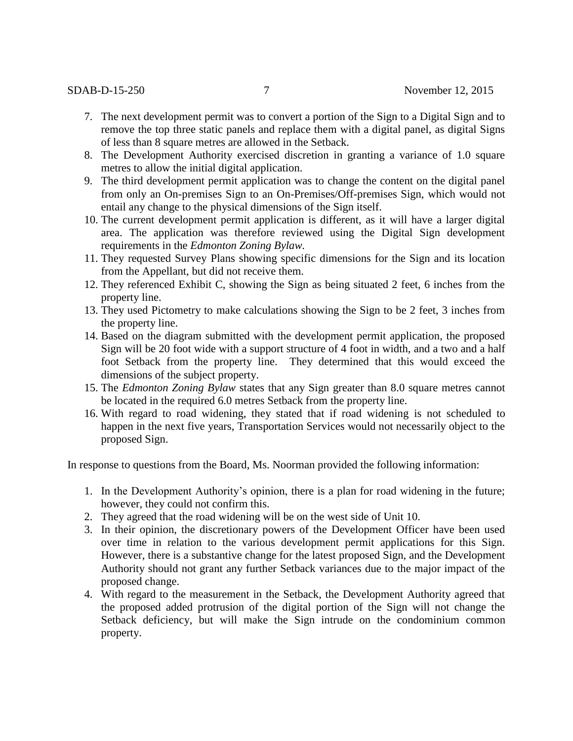- 7. The next development permit was to convert a portion of the Sign to a Digital Sign and to remove the top three static panels and replace them with a digital panel, as digital Signs of less than 8 square metres are allowed in the Setback.
- 8. The Development Authority exercised discretion in granting a variance of 1.0 square metres to allow the initial digital application.
- 9. The third development permit application was to change the content on the digital panel from only an On-premises Sign to an On-Premises/Off-premises Sign, which would not entail any change to the physical dimensions of the Sign itself.
- 10. The current development permit application is different, as it will have a larger digital area. The application was therefore reviewed using the Digital Sign development requirements in the *Edmonton Zoning Bylaw.*
- 11. They requested Survey Plans showing specific dimensions for the Sign and its location from the Appellant, but did not receive them.
- 12. They referenced Exhibit C, showing the Sign as being situated 2 feet, 6 inches from the property line.
- 13. They used Pictometry to make calculations showing the Sign to be 2 feet, 3 inches from the property line.
- 14. Based on the diagram submitted with the development permit application, the proposed Sign will be 20 foot wide with a support structure of 4 foot in width, and a two and a half foot Setback from the property line. They determined that this would exceed the dimensions of the subject property.
- 15. The *Edmonton Zoning Bylaw* states that any Sign greater than 8.0 square metres cannot be located in the required 6.0 metres Setback from the property line.
- 16. With regard to road widening, they stated that if road widening is not scheduled to happen in the next five years, Transportation Services would not necessarily object to the proposed Sign.

In response to questions from the Board, Ms. Noorman provided the following information:

- 1. In the Development Authority's opinion, there is a plan for road widening in the future; however, they could not confirm this.
- 2. They agreed that the road widening will be on the west side of Unit 10.
- 3. In their opinion, the discretionary powers of the Development Officer have been used over time in relation to the various development permit applications for this Sign. However, there is a substantive change for the latest proposed Sign, and the Development Authority should not grant any further Setback variances due to the major impact of the proposed change.
- 4. With regard to the measurement in the Setback, the Development Authority agreed that the proposed added protrusion of the digital portion of the Sign will not change the Setback deficiency, but will make the Sign intrude on the condominium common property.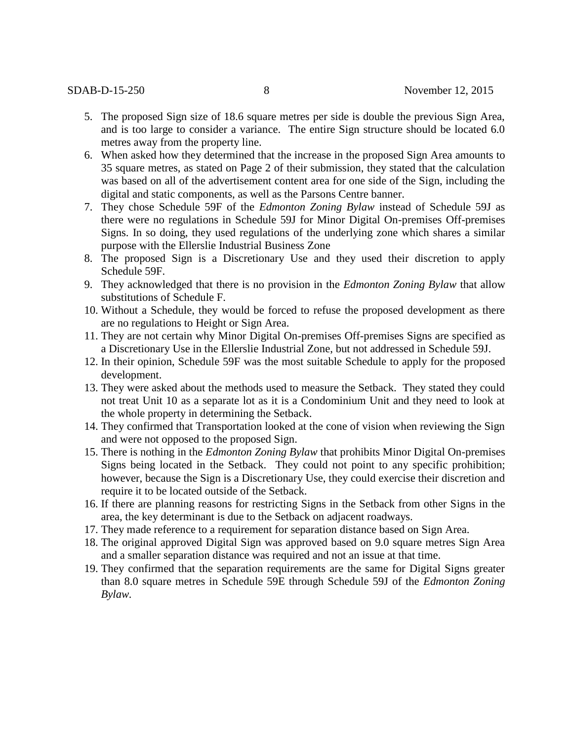- 5. The proposed Sign size of 18.6 square metres per side is double the previous Sign Area, and is too large to consider a variance. The entire Sign structure should be located 6.0 metres away from the property line.
- 6. When asked how they determined that the increase in the proposed Sign Area amounts to 35 square metres, as stated on Page 2 of their submission, they stated that the calculation was based on all of the advertisement content area for one side of the Sign, including the digital and static components, as well as the Parsons Centre banner.
- 7. They chose Schedule 59F of the *Edmonton Zoning Bylaw* instead of Schedule 59J as there were no regulations in Schedule 59J for Minor Digital On-premises Off-premises Signs. In so doing, they used regulations of the underlying zone which shares a similar purpose with the Ellerslie Industrial Business Zone
- 8. The proposed Sign is a Discretionary Use and they used their discretion to apply Schedule 59F.
- 9. They acknowledged that there is no provision in the *Edmonton Zoning Bylaw* that allow substitutions of Schedule F.
- 10. Without a Schedule, they would be forced to refuse the proposed development as there are no regulations to Height or Sign Area.
- 11. They are not certain why Minor Digital On-premises Off-premises Signs are specified as a Discretionary Use in the Ellerslie Industrial Zone, but not addressed in Schedule 59J.
- 12. In their opinion, Schedule 59F was the most suitable Schedule to apply for the proposed development.
- 13. They were asked about the methods used to measure the Setback. They stated they could not treat Unit 10 as a separate lot as it is a Condominium Unit and they need to look at the whole property in determining the Setback.
- 14. They confirmed that Transportation looked at the cone of vision when reviewing the Sign and were not opposed to the proposed Sign.
- 15. There is nothing in the *Edmonton Zoning Bylaw* that prohibits Minor Digital On-premises Signs being located in the Setback. They could not point to any specific prohibition; however, because the Sign is a Discretionary Use, they could exercise their discretion and require it to be located outside of the Setback.
- 16. If there are planning reasons for restricting Signs in the Setback from other Signs in the area, the key determinant is due to the Setback on adjacent roadways.
- 17. They made reference to a requirement for separation distance based on Sign Area.
- 18. The original approved Digital Sign was approved based on 9.0 square metres Sign Area and a smaller separation distance was required and not an issue at that time.
- 19. They confirmed that the separation requirements are the same for Digital Signs greater than 8.0 square metres in Schedule 59E through Schedule 59J of the *Edmonton Zoning Bylaw.*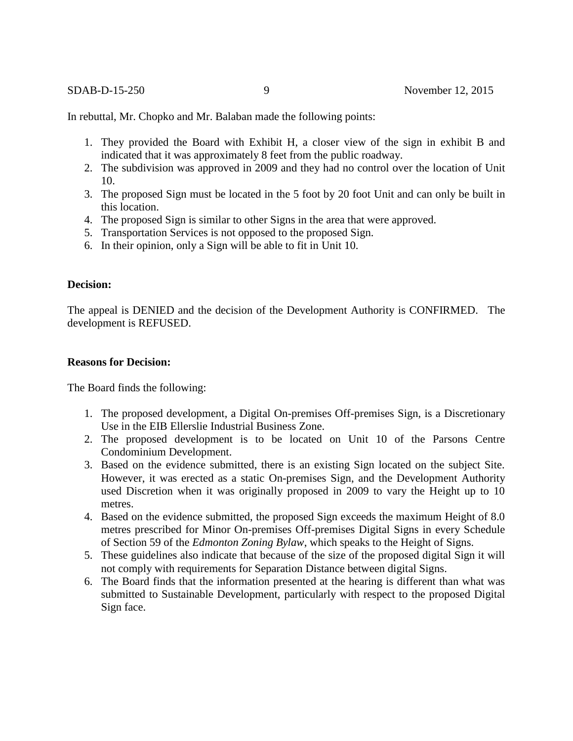In rebuttal, Mr. Chopko and Mr. Balaban made the following points:

- 1. They provided the Board with Exhibit H, a closer view of the sign in exhibit B and indicated that it was approximately 8 feet from the public roadway.
- 2. The subdivision was approved in 2009 and they had no control over the location of Unit 10.
- 3. The proposed Sign must be located in the 5 foot by 20 foot Unit and can only be built in this location.
- 4. The proposed Sign is similar to other Signs in the area that were approved.
- 5. Transportation Services is not opposed to the proposed Sign.
- 6. In their opinion, only a Sign will be able to fit in Unit 10.

#### **Decision:**

The appeal is DENIED and the decision of the Development Authority is CONFIRMED. The development is REFUSED.

## **Reasons for Decision:**

The Board finds the following:

- 1. The proposed development, a Digital On-premises Off-premises Sign, is a Discretionary Use in the EIB Ellerslie Industrial Business Zone.
- 2. The proposed development is to be located on Unit 10 of the Parsons Centre Condominium Development.
- 3. Based on the evidence submitted, there is an existing Sign located on the subject Site. However, it was erected as a static On-premises Sign, and the Development Authority used Discretion when it was originally proposed in 2009 to vary the Height up to 10 metres.
- 4. Based on the evidence submitted, the proposed Sign exceeds the maximum Height of 8.0 metres prescribed for Minor On-premises Off-premises Digital Signs in every Schedule of Section 59 of the *Edmonton Zoning Bylaw*, which speaks to the Height of Signs.
- 5. These guidelines also indicate that because of the size of the proposed digital Sign it will not comply with requirements for Separation Distance between digital Signs.
- 6. The Board finds that the information presented at the hearing is different than what was submitted to Sustainable Development, particularly with respect to the proposed Digital Sign face.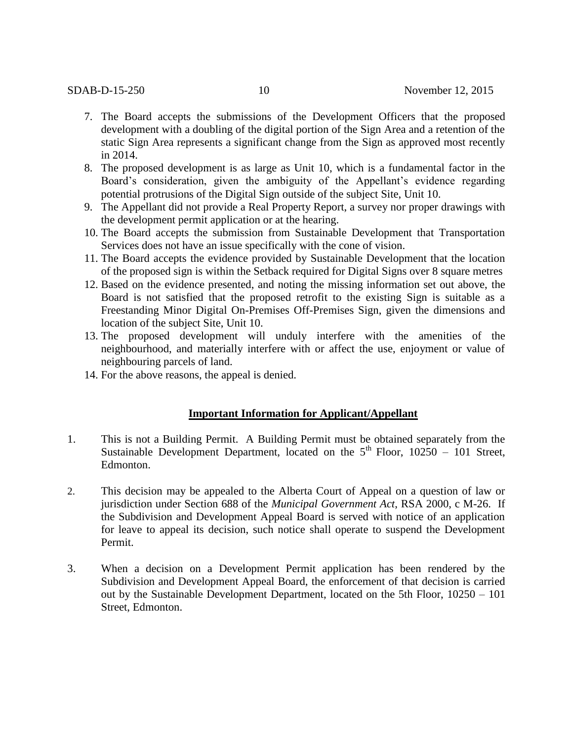- 7. The Board accepts the submissions of the Development Officers that the proposed development with a doubling of the digital portion of the Sign Area and a retention of the static Sign Area represents a significant change from the Sign as approved most recently in 2014.
- 8. The proposed development is as large as Unit 10, which is a fundamental factor in the Board's consideration, given the ambiguity of the Appellant's evidence regarding potential protrusions of the Digital Sign outside of the subject Site, Unit 10.
- 9. The Appellant did not provide a Real Property Report, a survey nor proper drawings with the development permit application or at the hearing.
- 10. The Board accepts the submission from Sustainable Development that Transportation Services does not have an issue specifically with the cone of vision.
- 11. The Board accepts the evidence provided by Sustainable Development that the location of the proposed sign is within the Setback required for Digital Signs over 8 square metres
- 12. Based on the evidence presented, and noting the missing information set out above, the Board is not satisfied that the proposed retrofit to the existing Sign is suitable as a Freestanding Minor Digital On-Premises Off-Premises Sign, given the dimensions and location of the subject Site, Unit 10.
- 13. The proposed development will unduly interfere with the amenities of the neighbourhood, and materially interfere with or affect the use, enjoyment or value of neighbouring parcels of land.
- 14. For the above reasons, the appeal is denied.

## **Important Information for Applicant/Appellant**

- 1. This is not a Building Permit. A Building Permit must be obtained separately from the Sustainable Development Department, located on the  $5<sup>th</sup>$  Floor, 10250 – 101 Street, Edmonton.
- 2. This decision may be appealed to the Alberta Court of Appeal on a question of law or jurisdiction under Section 688 of the *Municipal Government Act*, RSA 2000, c M-26. If the Subdivision and Development Appeal Board is served with notice of an application for leave to appeal its decision, such notice shall operate to suspend the Development Permit.
- 3. When a decision on a Development Permit application has been rendered by the Subdivision and Development Appeal Board, the enforcement of that decision is carried out by the Sustainable Development Department, located on the 5th Floor, 10250 – 101 Street, Edmonton.